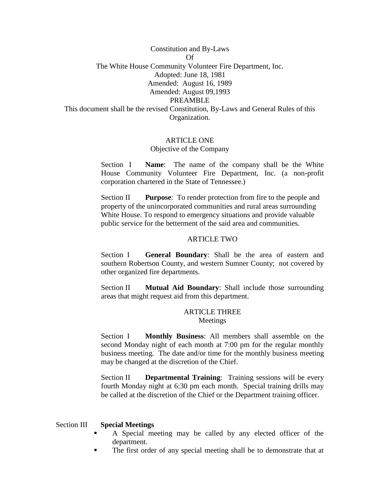Constitution and By-Laws Of The White House Community Volunteer Fire Department, Inc. Adopted: June 18, 1981 Amended: August 16, 1989 Amended: August 09,1993 PREAMBLE This document shall be the revised Constitution, By-Laws and General Rules of this Organization.

#### ARTICLE ONE

#### Objective of the Company

Section I **Name**: The name of the company shall be the White House Community Volunteer Fire Department, Inc. (a non-profit corporation chartered in the State of Tennessee.)

Section II **Purpose**: To render protection from fire to the people and property of the unincorporated communities and rural areas surrounding White House. To respond to emergency situations and provide valuable public service for the betterment of the said area and communities.

#### ARTICLE TWO

Section I **General Boundary**: Shall be the area of eastern and southern Robertson County, and western Sumner County; not covered by other organized fire departments.

Section II **Mutual Aid Boundary**: Shall include those surrounding areas that might request aid from this department.

#### ARTICLE THREE Meetings

Section I **Monthly Business**: All members shall assemble on the second Monday night of each month at 7:00 pm for the regular monthly business meeting. The date and/or time for the monthly business meeting may be changed at the discretion of the Chief.

Section II **Departmental Training**: Training sessions will be every fourth Monday night at 6:30 pm each month. Special training drills may be called at the discretion of the Chief or the Department training officer.

#### Section III **Special Meetings**

- A Special meeting may be called by any elected officer of the department.
- The first order of any special meeting shall be to demonstrate that at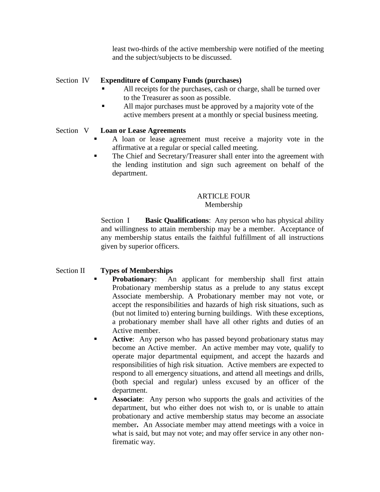least two-thirds of the active membership were notified of the meeting and the subject/subjects to be discussed.

## Section IV **Expenditure of Company Funds (purchases)**

- All receipts for the purchases, cash or charge, shall be turned over to the Treasurer as soon as possible.
- All major purchases must be approved by a majority vote of the active members present at a monthly or special business meeting.

## Section V **Loan or Lease Agreements**

- A loan or lease agreement must receive a majority vote in the affirmative at a regular or special called meeting.
- The Chief and Secretary/Treasurer shall enter into the agreement with the lending institution and sign such agreement on behalf of the department.

# ARTICLE FOUR

## Membership

Section I **Basic Qualifications**: Any person who has physical ability and willingness to attain membership may be a member. Acceptance of any membership status entails the faithful fulfillment of all instructions given by superior officers.

# Section II **Types of Memberships**

- **Probationary**: An applicant for membership shall first attain Probationary membership status as a prelude to any status except Associate membership. A Probationary member may not vote, or accept the responsibilities and hazards of high risk situations, such as (but not limited to) entering burning buildings. With these exceptions, a probationary member shall have all other rights and duties of an Active member.
- **Active:** Any person who has passed beyond probationary status may become an Active member. An active member may vote, qualify to operate major departmental equipment, and accept the hazards and responsibilities of high risk situation. Active members are expected to respond to all emergency situations, and attend all meetings and drills, (both special and regular) unless excused by an officer of the department.
- **Associate:** Any person who supports the goals and activities of the department, but who either does not wish to, or is unable to attain probationary and active membership status may become an associate member**.** An Associate member may attend meetings with a voice in what is said, but may not vote; and may offer service in any other nonfirematic way.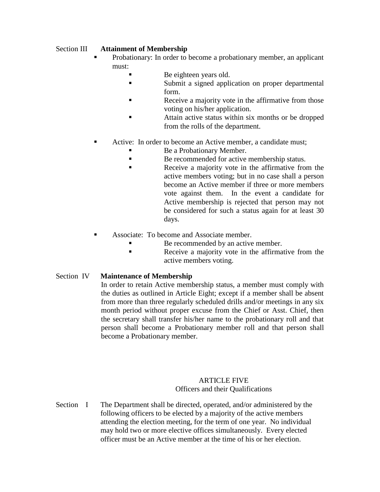## Section III **Attainment of Membership**

- Probationary: In order to become a probationary member, an applicant must:
	- Be eighteen years old.
	- Submit a signed application on proper departmental form.
	- Receive a majority vote in the affirmative from those voting on his/her application.
	- **Example 3** Attain active status within six months or be dropped from the rolls of the department.
- Active: In order to become an Active member, a candidate must;
	- Be a Probationary Member.
	- Be recommended for active membership status.
	- Receive a majority vote in the affirmative from the active members voting; but in no case shall a person become an Active member if three or more members vote against them. In the event a candidate for Active membership is rejected that person may not be considered for such a status again for at least 30 days.
- Associate: To become and Associate member.
	- Be recommended by an active member.
	- Receive a majority vote in the affirmative from the active members voting.
- Section IV **Maintenance of Membership**

In order to retain Active membership status, a member must comply with the duties as outlined in Article Eight; except if a member shall be absent from more than three regularly scheduled drills and/or meetings in any six month period without proper excuse from the Chief or Asst. Chief, then the secretary shall transfer his/her name to the probationary roll and that person shall become a Probationary member roll and that person shall become a Probationary member.

## ARTICLE FIVE Officers and their Qualifications

Section I The Department shall be directed, operated, and/or administered by the following officers to be elected by a majority of the active members attending the election meeting, for the term of one year. No individual may hold two or more elective offices simultaneously. Every elected officer must be an Active member at the time of his or her election.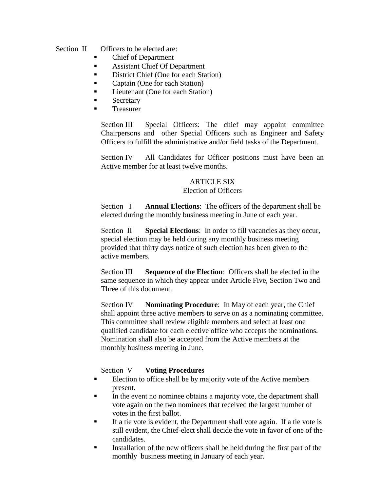Section II Officers to be elected are:

- Chief of Department
- Assistant Chief Of Department
- District Chief (One for each Station)
- Captain (One for each Station)
- Lieutenant (One for each Station)
- **Secretary**
- Treasurer

Section III Special Officers: The chief may appoint committee Chairpersons and other Special Officers such as Engineer and Safety Officers to fulfill the administrative and/or field tasks of the Department.

Section IV All Candidates for Officer positions must have been an Active member for at least twelve months.

# ARTICLE SIX

#### Election of Officers

Section I **Annual Elections**: The officers of the department shall be elected during the monthly business meeting in June of each year.

Section II **Special Elections**: In order to fill vacancies as they occur, special election may be held during any monthly business meeting provided that thirty days notice of such election has been given to the active members.

Section III **Sequence of the Election**: Officers shall be elected in the same sequence in which they appear under Article Five, Section Two and Three of this document.

Section IV **Nominating Procedure**: In May of each year, the Chief shall appoint three active members to serve on as a nominating committee. This committee shall review eligible members and select at least one qualified candidate for each elective office who accepts the nominations. Nomination shall also be accepted from the Active members at the monthly business meeting in June.

## Section V **Voting Procedures**

- Election to office shall be by majority vote of the Active members present.
- In the event no nominee obtains a majority vote, the department shall vote again on the two nominees that received the largest number of votes in the first ballot.
- If a tie vote is evident, the Department shall vote again. If a tie vote is still evident, the Chief-elect shall decide the vote in favor of one of the candidates.
- Installation of the new officers shall be held during the first part of the monthly business meeting in January of each year.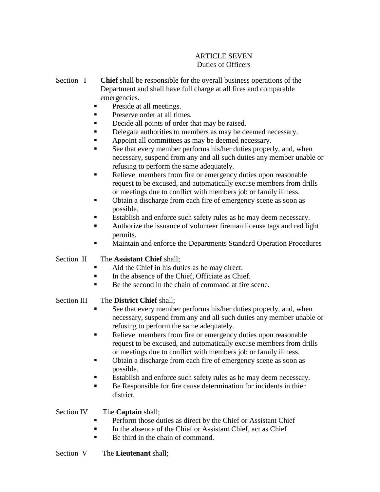# ARTICLE SEVEN Duties of Officers

- Section I **Chief** shall be responsible for the overall business operations of the Department and shall have full charge at all fires and comparable emergencies.
	- Preside at all meetings.
	- Preserve order at all times.
	- Decide all points of order that may be raised.
	- Delegate authorities to members as may be deemed necessary.
	- Appoint all committees as may be deemed necessary.
	- See that every member performs his/her duties properly, and, when necessary, suspend from any and all such duties any member unable or refusing to perform the same adequately.
	- Relieve members from fire or emergency duties upon reasonable request to be excused, and automatically excuse members from drills or meetings due to conflict with members job or family illness.
	- Obtain a discharge from each fire of emergency scene as soon as possible.
	- Establish and enforce such safety rules as he may deem necessary.
	- Authorize the issuance of volunteer fireman license tags and red light permits.
	- Maintain and enforce the Departments Standard Operation Procedures

# Section II The **Assistant Chief** shall;

- Aid the Chief in his duties as he may direct.
- In the absence of the Chief, Officiate as Chief.
- Be the second in the chain of command at fire scene.

# Section III The **District Chief** shall;

- See that every member performs his/her duties properly, and, when necessary, suspend from any and all such duties any member unable or refusing to perform the same adequately.
- Relieve members from fire or emergency duties upon reasonable request to be excused, and automatically excuse members from drills or meetings due to conflict with members job or family illness.
- Obtain a discharge from each fire of emergency scene as soon as possible.
- Establish and enforce such safety rules as he may deem necessary.
- Be Responsible for fire cause determination for incidents in thier district.

## Section IV The **Captain** shall;

- Perform those duties as direct by the Chief or Assistant Chief
- $\blacksquare$  In the absence of the Chief or Assistant Chief, act as Chief
- Be third in the chain of command.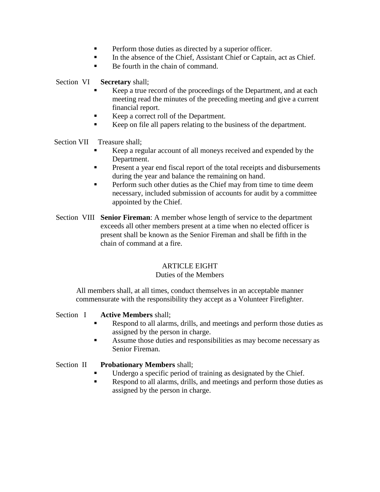- Perform those duties as directed by a superior officer.
- In the absence of the Chief, Assistant Chief or Captain, act as Chief.
- Be fourth in the chain of command.

Section VI **Secretary** shall;

- Keep a true record of the proceedings of the Department, and at each meeting read the minutes of the preceding meeting and give a current financial report.
- Keep a correct roll of the Department.
- Keep on file all papers relating to the business of the department.

Section VII Treasure shall;

- Keep a regular account of all moneys received and expended by the Department.
- Present a year end fiscal report of the total receipts and disbursements during the year and balance the remaining on hand.
- **Perform such other duties as the Chief may from time to time deem** necessary, included submission of accounts for audit by a committee appointed by the Chief.
- Section VIII **Senior Fireman**: A member whose length of service to the department exceeds all other members present at a time when no elected officer is present shall be known as the Senior Fireman and shall be fifth in the chain of command at a fire.

# ARTICLE EIGHT

## Duties of the Members

All members shall, at all times, conduct themselves in an acceptable manner commensurate with the responsibility they accept as a Volunteer Firefighter.

# Section I **Active Members** shall;

- Respond to all alarms, drills, and meetings and perform those duties as assigned by the person in charge.
- Assume those duties and responsibilities as may become necessary as Senior Fireman.

# Section II **Probationary Members** shall;

- Undergo a specific period of training as designated by the Chief.
- Respond to all alarms, drills, and meetings and perform those duties as assigned by the person in charge.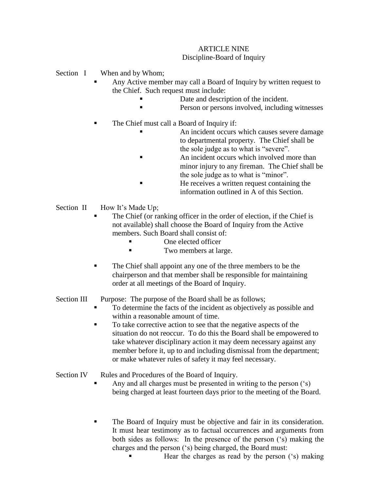## ARTICLE NINE Discipline-Board of Inquiry

Section I When and by Whom;

- Any Active member may call a Board of Inquiry by written request to the Chief. Such request must include:
	- Date and description of the incident.
	- Person or persons involved, including witnesses
- The Chief must call a Board of Inquiry if:
	- An incident occurs which causes severe damage to departmental property. The Chief shall be the sole judge as to what is "severe".
	- An incident occurs which involved more than minor injury to any fireman. The Chief shall be the sole judge as to what is "minor".
	- He receives a written request containing the information outlined in A of this Section.
- Section II How It's Made Up;
	- The Chief (or ranking officer in the order of election, if the Chief is not available) shall choose the Board of Inquiry from the Active members. Such Board shall consist of:
		- One elected officer
		- **Two members at large.**
	- The Chief shall appoint any one of the three members to be the chairperson and that member shall be responsible for maintaining order at all meetings of the Board of Inquiry.

# Section III Purpose: The purpose of the Board shall be as follows;

- To determine the facts of the incident as objectively as possible and within a reasonable amount of time.
- To take corrective action to see that the negative aspects of the situation do not reoccur. To do this the Board shall be empowered to take whatever disciplinary action it may deem necessary against any member before it, up to and including dismissal from the department; or make whatever rules of safety it may feel necessary.

# Section IV Rules and Procedures of the Board of Inquiry.

- Any and all charges must be presented in writing to the person ('s) being charged at least fourteen days prior to the meeting of the Board.
- The Board of Inquiry must be objective and fair in its consideration. It must hear testimony as to factual occurrences and arguments from both sides as follows: In the presence of the person ('s) making the charges and the person ('s) being charged, the Board must:
	- Hear the charges as read by the person ('s) making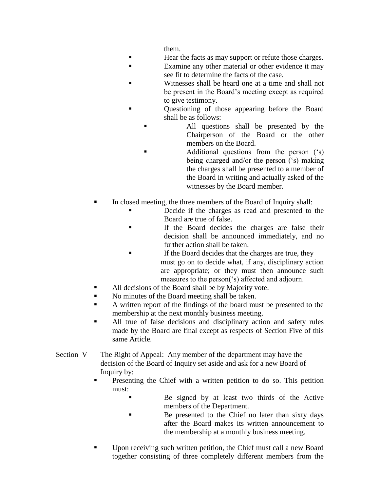them.

- Hear the facts as may support or refute those charges.
- Examine any other material or other evidence it may see fit to determine the facts of the case.
- Witnesses shall be heard one at a time and shall not be present in the Board's meeting except as required to give testimony.
- Questioning of those appearing before the Board shall be as follows:
	- All questions shall be presented by the Chairperson of the Board or the other members on the Board.
	- Additional questions from the person ('s) being charged and/or the person ('s) making the charges shall be presented to a member of the Board in writing and actually asked of the witnesses by the Board member.
- In closed meeting, the three members of the Board of Inquiry shall:
	- Decide if the charges as read and presented to the Board are true of false.
	- If the Board decides the charges are false their decision shall be announced immediately, and no further action shall be taken.
	- If the Board decides that the charges are true, they must go on to decide what, if any, disciplinary action are appropriate; or they must then announce such measures to the person('s) affected and adjourn.
- All decisions of the Board shall be by Majority vote.
- No minutes of the Board meeting shall be taken.
- A written report of the findings of the board must be presented to the membership at the next monthly business meeting.
- All true of false decisions and disciplinary action and safety rules made by the Board are final except as respects of Section Five of this same Article.
- Section V The Right of Appeal: Any member of the department may have the decision of the Board of Inquiry set aside and ask for a new Board of Inquiry by:
	- Presenting the Chief with a written petition to do so. This petition must:
		- Be signed by at least two thirds of the Active members of the Department.
		- Be presented to the Chief no later than sixty days after the Board makes its written announcement to the membership at a monthly business meeting.
	- Upon receiving such written petition, the Chief must call a new Board together consisting of three completely different members from the